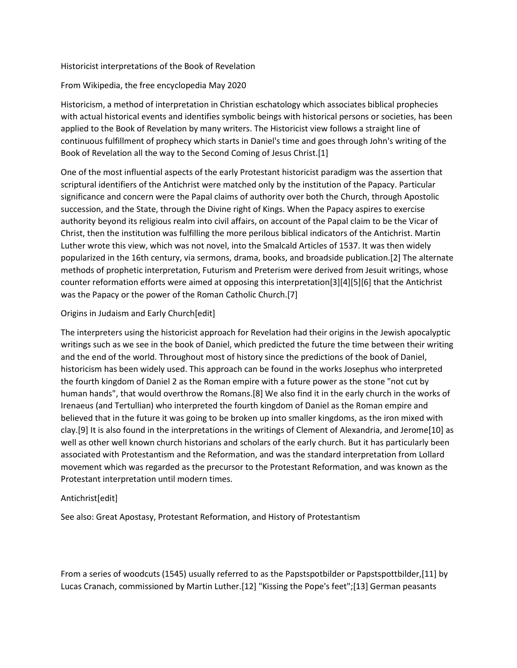## Historicist interpretations of the Book of Revelation

## From Wikipedia, the free encyclopedia May 2020

Historicism, a method of interpretation in Christian eschatology which associates biblical prophecies with actual historical events and identifies symbolic beings with historical persons or societies, has been applied to the Book of Revelation by many writers. The Historicist view follows a straight line of continuous fulfillment of prophecy which starts in Daniel's time and goes through John's writing of the Book of Revelation all the way to the Second Coming of Jesus Christ.[1]

One of the most influential aspects of the early Protestant historicist paradigm was the assertion that scriptural identifiers of the Antichrist were matched only by the institution of the Papacy. Particular significance and concern were the Papal claims of authority over both the Church, through Apostolic succession, and the State, through the Divine right of Kings. When the Papacy aspires to exercise authority beyond its religious realm into civil affairs, on account of the Papal claim to be the Vicar of Christ, then the institution was fulfilling the more perilous biblical indicators of the Antichrist. Martin Luther wrote this view, which was not novel, into the Smalcald Articles of 1537. It was then widely popularized in the 16th century, via sermons, drama, books, and broadside publication.[2] The alternate methods of prophetic interpretation, Futurism and Preterism were derived from Jesuit writings, whose counter reformation efforts were aimed at opposing this interpretation[3][4][5][6] that the Antichrist was the Papacy or the power of the Roman Catholic Church.[7]

#### Origins in Judaism and Early Church[edit]

The interpreters using the historicist approach for Revelation had their origins in the Jewish apocalyptic writings such as we see in the book of Daniel, which predicted the future the time between their writing and the end of the world. Throughout most of history since the predictions of the book of Daniel, historicism has been widely used. This approach can be found in the works Josephus who interpreted the fourth kingdom of Daniel 2 as the Roman empire with a future power as the stone "not cut by human hands", that would overthrow the Romans.[8] We also find it in the early church in the works of Irenaeus (and Tertullian) who interpreted the fourth kingdom of Daniel as the Roman empire and believed that in the future it was going to be broken up into smaller kingdoms, as the iron mixed with clay.[9] It is also found in the interpretations in the writings of Clement of Alexandria, and Jerome[10] as well as other well known church historians and scholars of the early church. But it has particularly been associated with Protestantism and the Reformation, and was the standard interpretation from Lollard movement which was regarded as the precursor to the Protestant Reformation, and was known as the Protestant interpretation until modern times.

#### Antichrist[edit]

See also: Great Apostasy, Protestant Reformation, and History of Protestantism

From a series of woodcuts (1545) usually referred to as the Papstspotbilder or Papstspottbilder,[11] by Lucas Cranach, commissioned by Martin Luther.[12] "Kissing the Pope's feet";[13] German peasants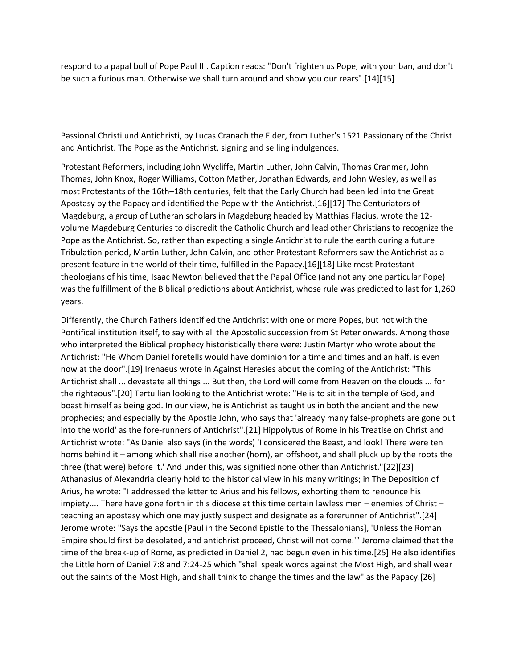respond to a papal bull of Pope Paul III. Caption reads: "Don't frighten us Pope, with your ban, and don't be such a furious man. Otherwise we shall turn around and show you our rears".[14][15]

Passional Christi und Antichristi, by Lucas Cranach the Elder, from Luther's 1521 Passionary of the Christ and Antichrist. The Pope as the Antichrist, signing and selling indulgences.

Protestant Reformers, including John Wycliffe, Martin Luther, John Calvin, Thomas Cranmer, John Thomas, John Knox, Roger Williams, Cotton Mather, Jonathan Edwards, and John Wesley, as well as most Protestants of the 16th–18th centuries, felt that the Early Church had been led into the Great Apostasy by the Papacy and identified the Pope with the Antichrist.[16][17] The Centuriators of Magdeburg, a group of Lutheran scholars in Magdeburg headed by Matthias Flacius, wrote the 12 volume Magdeburg Centuries to discredit the Catholic Church and lead other Christians to recognize the Pope as the Antichrist. So, rather than expecting a single Antichrist to rule the earth during a future Tribulation period, Martin Luther, John Calvin, and other Protestant Reformers saw the Antichrist as a present feature in the world of their time, fulfilled in the Papacy.[16][18] Like most Protestant theologians of his time, Isaac Newton believed that the Papal Office (and not any one particular Pope) was the fulfillment of the Biblical predictions about Antichrist, whose rule was predicted to last for 1,260 years.

Differently, the Church Fathers identified the Antichrist with one or more Popes, but not with the Pontifical institution itself, to say with all the Apostolic succession from St Peter onwards. Among those who interpreted the Biblical prophecy historistically there were: Justin Martyr who wrote about the Antichrist: "He Whom Daniel foretells would have dominion for a time and times and an half, is even now at the door".[19] Irenaeus wrote in Against Heresies about the coming of the Antichrist: "This Antichrist shall ... devastate all things ... But then, the Lord will come from Heaven on the clouds ... for the righteous".[20] Tertullian looking to the Antichrist wrote: "He is to sit in the temple of God, and boast himself as being god. In our view, he is Antichrist as taught us in both the ancient and the new prophecies; and especially by the Apostle John, who says that 'already many false-prophets are gone out into the world' as the fore-runners of Antichrist".[21] Hippolytus of Rome in his Treatise on Christ and Antichrist wrote: "As Daniel also says (in the words) 'I considered the Beast, and look! There were ten horns behind it – among which shall rise another (horn), an offshoot, and shall pluck up by the roots the three (that were) before it.' And under this, was signified none other than Antichrist."[22][23] Athanasius of Alexandria clearly hold to the historical view in his many writings; in The Deposition of Arius, he wrote: "I addressed the letter to Arius and his fellows, exhorting them to renounce his impiety.... There have gone forth in this diocese at this time certain lawless men – enemies of Christ – teaching an apostasy which one may justly suspect and designate as a forerunner of Antichrist".[24] Jerome wrote: "Says the apostle [Paul in the Second Epistle to the Thessalonians], 'Unless the Roman Empire should first be desolated, and antichrist proceed, Christ will not come.'" Jerome claimed that the time of the break-up of Rome, as predicted in Daniel 2, had begun even in his time.[25] He also identifies the Little horn of Daniel 7:8 and 7:24-25 which "shall speak words against the Most High, and shall wear out the saints of the Most High, and shall think to change the times and the law" as the Papacy.[26]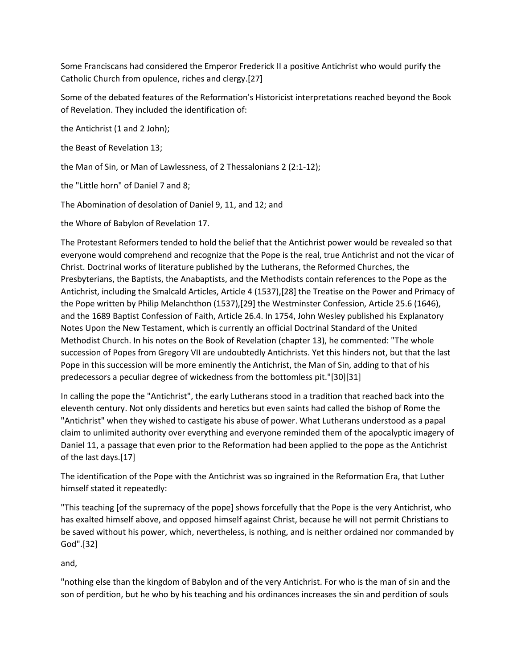Some Franciscans had considered the Emperor Frederick II a positive Antichrist who would purify the Catholic Church from opulence, riches and clergy.[27]

Some of the debated features of the Reformation's Historicist interpretations reached beyond the Book of Revelation. They included the identification of:

the Antichrist (1 and 2 John);

the Beast of Revelation 13;

the Man of Sin, or Man of Lawlessness, of 2 Thessalonians 2 (2:1-12);

the "Little horn" of Daniel 7 and 8;

The Abomination of desolation of Daniel 9, 11, and 12; and

the Whore of Babylon of Revelation 17.

The Protestant Reformers tended to hold the belief that the Antichrist power would be revealed so that everyone would comprehend and recognize that the Pope is the real, true Antichrist and not the vicar of Christ. Doctrinal works of literature published by the Lutherans, the Reformed Churches, the Presbyterians, the Baptists, the Anabaptists, and the Methodists contain references to the Pope as the Antichrist, including the Smalcald Articles, Article 4 (1537),[28] the Treatise on the Power and Primacy of the Pope written by Philip Melanchthon (1537),[29] the Westminster Confession, Article 25.6 (1646), and the 1689 Baptist Confession of Faith, Article 26.4. In 1754, John Wesley published his Explanatory Notes Upon the New Testament, which is currently an official Doctrinal Standard of the United Methodist Church. In his notes on the Book of Revelation (chapter 13), he commented: "The whole succession of Popes from Gregory VII are undoubtedly Antichrists. Yet this hinders not, but that the last Pope in this succession will be more eminently the Antichrist, the Man of Sin, adding to that of his predecessors a peculiar degree of wickedness from the bottomless pit."[30][31]

In calling the pope the "Antichrist", the early Lutherans stood in a tradition that reached back into the eleventh century. Not only dissidents and heretics but even saints had called the bishop of Rome the "Antichrist" when they wished to castigate his abuse of power. What Lutherans understood as a papal claim to unlimited authority over everything and everyone reminded them of the apocalyptic imagery of Daniel 11, a passage that even prior to the Reformation had been applied to the pope as the Antichrist of the last days.[17]

The identification of the Pope with the Antichrist was so ingrained in the Reformation Era, that Luther himself stated it repeatedly:

"This teaching [of the supremacy of the pope] shows forcefully that the Pope is the very Antichrist, who has exalted himself above, and opposed himself against Christ, because he will not permit Christians to be saved without his power, which, nevertheless, is nothing, and is neither ordained nor commanded by God".[32]

and,

"nothing else than the kingdom of Babylon and of the very Antichrist. For who is the man of sin and the son of perdition, but he who by his teaching and his ordinances increases the sin and perdition of souls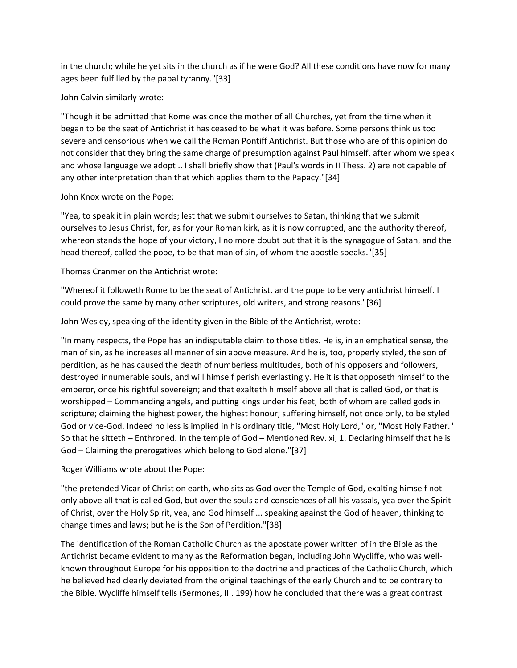in the church; while he yet sits in the church as if he were God? All these conditions have now for many ages been fulfilled by the papal tyranny."[33]

John Calvin similarly wrote:

"Though it be admitted that Rome was once the mother of all Churches, yet from the time when it began to be the seat of Antichrist it has ceased to be what it was before. Some persons think us too severe and censorious when we call the Roman Pontiff Antichrist. But those who are of this opinion do not consider that they bring the same charge of presumption against Paul himself, after whom we speak and whose language we adopt .. I shall briefly show that (Paul's words in II Thess. 2) are not capable of any other interpretation than that which applies them to the Papacy."[34]

# John Knox wrote on the Pope:

"Yea, to speak it in plain words; lest that we submit ourselves to Satan, thinking that we submit ourselves to Jesus Christ, for, as for your Roman kirk, as it is now corrupted, and the authority thereof, whereon stands the hope of your victory, I no more doubt but that it is the synagogue of Satan, and the head thereof, called the pope, to be that man of sin, of whom the apostle speaks."[35]

Thomas Cranmer on the Antichrist wrote:

"Whereof it followeth Rome to be the seat of Antichrist, and the pope to be very antichrist himself. I could prove the same by many other scriptures, old writers, and strong reasons."[36]

John Wesley, speaking of the identity given in the Bible of the Antichrist, wrote:

"In many respects, the Pope has an indisputable claim to those titles. He is, in an emphatical sense, the man of sin, as he increases all manner of sin above measure. And he is, too, properly styled, the son of perdition, as he has caused the death of numberless multitudes, both of his opposers and followers, destroyed innumerable souls, and will himself perish everlastingly. He it is that opposeth himself to the emperor, once his rightful sovereign; and that exalteth himself above all that is called God, or that is worshipped – Commanding angels, and putting kings under his feet, both of whom are called gods in scripture; claiming the highest power, the highest honour; suffering himself, not once only, to be styled God or vice-God. Indeed no less is implied in his ordinary title, "Most Holy Lord," or, "Most Holy Father." So that he sitteth – Enthroned. In the temple of God – Mentioned Rev. xi, 1. Declaring himself that he is God – Claiming the prerogatives which belong to God alone."[37]

Roger Williams wrote about the Pope:

"the pretended Vicar of Christ on earth, who sits as God over the Temple of God, exalting himself not only above all that is called God, but over the souls and consciences of all his vassals, yea over the Spirit of Christ, over the Holy Spirit, yea, and God himself ... speaking against the God of heaven, thinking to change times and laws; but he is the Son of Perdition."[38]

The identification of the Roman Catholic Church as the apostate power written of in the Bible as the Antichrist became evident to many as the Reformation began, including John Wycliffe, who was wellknown throughout Europe for his opposition to the doctrine and practices of the Catholic Church, which he believed had clearly deviated from the original teachings of the early Church and to be contrary to the Bible. Wycliffe himself tells (Sermones, III. 199) how he concluded that there was a great contrast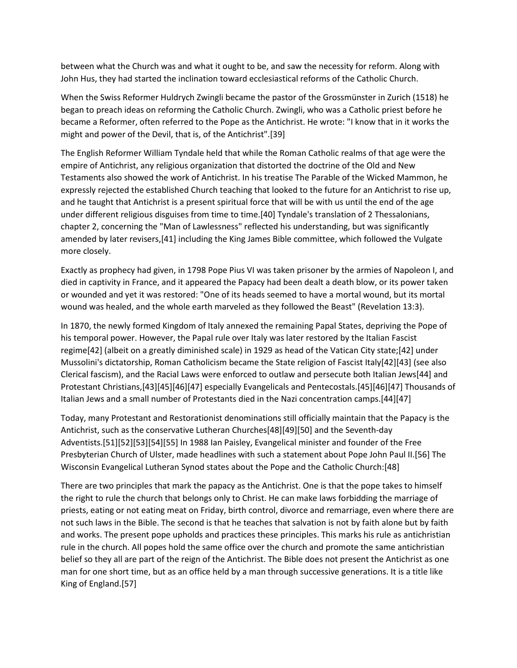between what the Church was and what it ought to be, and saw the necessity for reform. Along with John Hus, they had started the inclination toward ecclesiastical reforms of the Catholic Church.

When the Swiss Reformer Huldrych Zwingli became the pastor of the Grossmünster in Zurich (1518) he began to preach ideas on reforming the Catholic Church. Zwingli, who was a Catholic priest before he became a Reformer, often referred to the Pope as the Antichrist. He wrote: "I know that in it works the might and power of the Devil, that is, of the Antichrist".[39]

The English Reformer William Tyndale held that while the Roman Catholic realms of that age were the empire of Antichrist, any religious organization that distorted the doctrine of the Old and New Testaments also showed the work of Antichrist. In his treatise The Parable of the Wicked Mammon, he expressly rejected the established Church teaching that looked to the future for an Antichrist to rise up, and he taught that Antichrist is a present spiritual force that will be with us until the end of the age under different religious disguises from time to time.[40] Tyndale's translation of 2 Thessalonians, chapter 2, concerning the "Man of Lawlessness" reflected his understanding, but was significantly amended by later revisers,[41] including the King James Bible committee, which followed the Vulgate more closely.

Exactly as prophecy had given, in 1798 Pope Pius VI was taken prisoner by the armies of Napoleon I, and died in captivity in France, and it appeared the Papacy had been dealt a death blow, or its power taken or wounded and yet it was restored: "One of its heads seemed to have a mortal wound, but its mortal wound was healed, and the whole earth marveled as they followed the Beast" (Revelation 13:3).

In 1870, the newly formed Kingdom of Italy annexed the remaining Papal States, depriving the Pope of his temporal power. However, the Papal rule over Italy was later restored by the Italian Fascist regime[42] (albeit on a greatly diminished scale) in 1929 as head of the Vatican City state;[42] under Mussolini's dictatorship, Roman Catholicism became the State religion of Fascist Italy[42][43] (see also Clerical fascism), and the Racial Laws were enforced to outlaw and persecute both Italian Jews[44] and Protestant Christians,[43][45][46][47] especially Evangelicals and Pentecostals.[45][46][47] Thousands of Italian Jews and a small number of Protestants died in the Nazi concentration camps.[44][47]

Today, many Protestant and Restorationist denominations still officially maintain that the Papacy is the Antichrist, such as the conservative Lutheran Churches[48][49][50] and the Seventh-day Adventists.[51][52][53][54][55] In 1988 Ian Paisley, Evangelical minister and founder of the Free Presbyterian Church of Ulster, made headlines with such a statement about Pope John Paul II.[56] The Wisconsin Evangelical Lutheran Synod states about the Pope and the Catholic Church:[48]

There are two principles that mark the papacy as the Antichrist. One is that the pope takes to himself the right to rule the church that belongs only to Christ. He can make laws forbidding the marriage of priests, eating or not eating meat on Friday, birth control, divorce and remarriage, even where there are not such laws in the Bible. The second is that he teaches that salvation is not by faith alone but by faith and works. The present pope upholds and practices these principles. This marks his rule as antichristian rule in the church. All popes hold the same office over the church and promote the same antichristian belief so they all are part of the reign of the Antichrist. The Bible does not present the Antichrist as one man for one short time, but as an office held by a man through successive generations. It is a title like King of England.[57]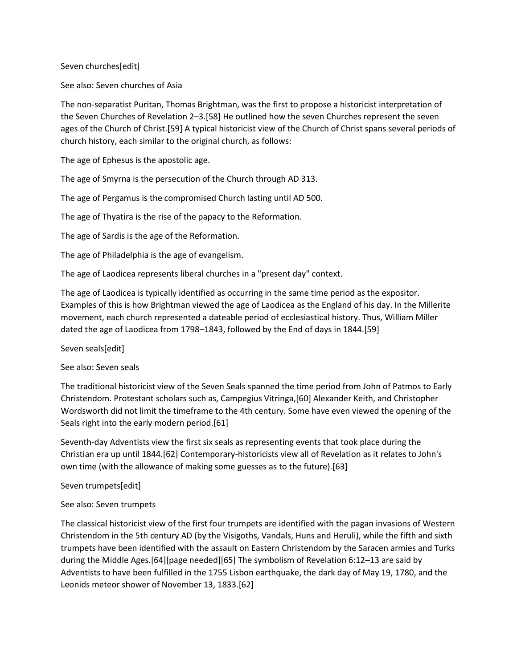Seven churches[edit]

See also: Seven churches of Asia

The non-separatist Puritan, Thomas Brightman, was the first to propose a historicist interpretation of the Seven Churches of Revelation 2–3.[58] He outlined how the seven Churches represent the seven ages of the Church of Christ.[59] A typical historicist view of the Church of Christ spans several periods of church history, each similar to the original church, as follows:

The age of Ephesus is the apostolic age.

The age of Smyrna is the persecution of the Church through AD 313.

The age of Pergamus is the compromised Church lasting until AD 500.

The age of Thyatira is the rise of the papacy to the Reformation.

The age of Sardis is the age of the Reformation.

The age of Philadelphia is the age of evangelism.

The age of Laodicea represents liberal churches in a "present day" context.

The age of Laodicea is typically identified as occurring in the same time period as the expositor. Examples of this is how Brightman viewed the age of Laodicea as the England of his day. In the Millerite movement, each church represented a dateable period of ecclesiastical history. Thus, William Miller dated the age of Laodicea from 1798–1843, followed by the End of days in 1844.[59]

Seven seals[edit]

See also: Seven seals

The traditional historicist view of the Seven Seals spanned the time period from John of Patmos to Early Christendom. Protestant scholars such as, Campegius Vitringa,[60] Alexander Keith, and Christopher Wordsworth did not limit the timeframe to the 4th century. Some have even viewed the opening of the Seals right into the early modern period.[61]

Seventh-day Adventists view the first six seals as representing events that took place during the Christian era up until 1844.[62] Contemporary-historicists view all of Revelation as it relates to John's own time (with the allowance of making some guesses as to the future).[63]

Seven trumpets[edit]

See also: Seven trumpets

The classical historicist view of the first four trumpets are identified with the pagan invasions of Western Christendom in the 5th century AD (by the Visigoths, Vandals, Huns and Heruli), while the fifth and sixth trumpets have been identified with the assault on Eastern Christendom by the Saracen armies and Turks during the Middle Ages.[64][page needed][65] The symbolism of Revelation 6:12–13 are said by Adventists to have been fulfilled in the 1755 Lisbon earthquake, the dark day of May 19, 1780, and the Leonids meteor shower of November 13, 1833.[62]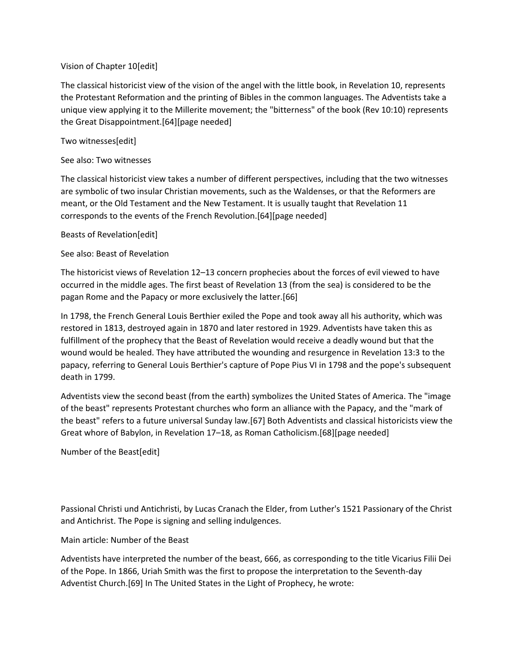## Vision of Chapter 10[edit]

The classical historicist view of the vision of the angel with the little book, in Revelation 10, represents the Protestant Reformation and the printing of Bibles in the common languages. The Adventists take a unique view applying it to the Millerite movement; the "bitterness" of the book (Rev 10:10) represents the Great Disappointment.[64][page needed]

# Two witnesses[edit]

See also: Two witnesses

The classical historicist view takes a number of different perspectives, including that the two witnesses are symbolic of two insular Christian movements, such as the Waldenses, or that the Reformers are meant, or the Old Testament and the New Testament. It is usually taught that Revelation 11 corresponds to the events of the French Revolution.[64][page needed]

Beasts of Revelation[edit]

# See also: Beast of Revelation

The historicist views of Revelation 12–13 concern prophecies about the forces of evil viewed to have occurred in the middle ages. The first beast of Revelation 13 (from the sea) is considered to be the pagan Rome and the Papacy or more exclusively the latter.[66]

In 1798, the French General Louis Berthier exiled the Pope and took away all his authority, which was restored in 1813, destroyed again in 1870 and later restored in 1929. Adventists have taken this as fulfillment of the prophecy that the Beast of Revelation would receive a deadly wound but that the wound would be healed. They have attributed the wounding and resurgence in Revelation 13:3 to the papacy, referring to General Louis Berthier's capture of Pope Pius VI in 1798 and the pope's subsequent death in 1799.

Adventists view the second beast (from the earth) symbolizes the United States of America. The "image of the beast" represents Protestant churches who form an alliance with the Papacy, and the "mark of the beast" refers to a future universal Sunday law.[67] Both Adventists and classical historicists view the Great whore of Babylon, in Revelation 17–18, as Roman Catholicism.[68][page needed]

Number of the Beast[edit]

Passional Christi und Antichristi, by Lucas Cranach the Elder, from Luther's 1521 Passionary of the Christ and Antichrist. The Pope is signing and selling indulgences.

# Main article: Number of the Beast

Adventists have interpreted the number of the beast, 666, as corresponding to the title Vicarius Filii Dei of the Pope. In 1866, Uriah Smith was the first to propose the interpretation to the Seventh-day Adventist Church.[69] In The United States in the Light of Prophecy, he wrote: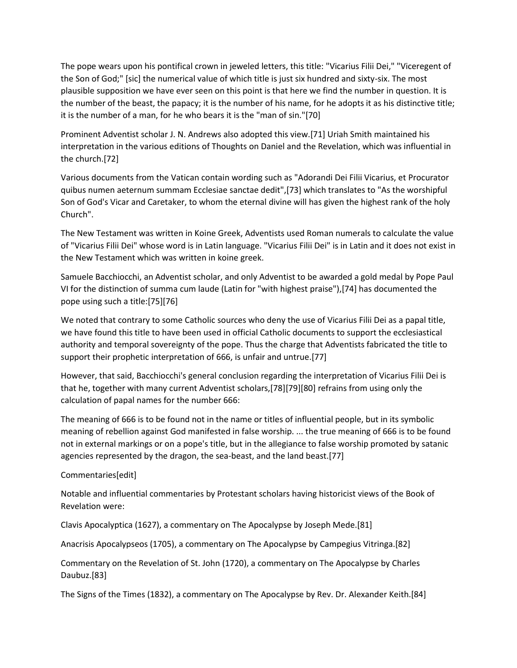The pope wears upon his pontifical crown in jeweled letters, this title: "Vicarius Filii Dei," "Viceregent of the Son of God;" [sic] the numerical value of which title is just six hundred and sixty-six. The most plausible supposition we have ever seen on this point is that here we find the number in question. It is the number of the beast, the papacy; it is the number of his name, for he adopts it as his distinctive title; it is the number of a man, for he who bears it is the "man of sin."[70]

Prominent Adventist scholar J. N. Andrews also adopted this view.[71] Uriah Smith maintained his interpretation in the various editions of Thoughts on Daniel and the Revelation, which was influential in the church.[72]

Various documents from the Vatican contain wording such as "Adorandi Dei Filii Vicarius, et Procurator quibus numen aeternum summam Ecclesiae sanctae dedit",[73] which translates to "As the worshipful Son of God's Vicar and Caretaker, to whom the eternal divine will has given the highest rank of the holy Church".

The New Testament was written in Koine Greek, Adventists used Roman numerals to calculate the value of "Vicarius Filii Dei" whose word is in Latin language. "Vicarius Filii Dei" is in Latin and it does not exist in the New Testament which was written in koine greek.

Samuele Bacchiocchi, an Adventist scholar, and only Adventist to be awarded a gold medal by Pope Paul VI for the distinction of summa cum laude (Latin for "with highest praise"),[74] has documented the pope using such a title:[75][76]

We noted that contrary to some Catholic sources who deny the use of Vicarius Filii Dei as a papal title, we have found this title to have been used in official Catholic documents to support the ecclesiastical authority and temporal sovereignty of the pope. Thus the charge that Adventists fabricated the title to support their prophetic interpretation of 666, is unfair and untrue.[77]

However, that said, Bacchiocchi's general conclusion regarding the interpretation of Vicarius Filii Dei is that he, together with many current Adventist scholars,[78][79][80] refrains from using only the calculation of papal names for the number 666:

The meaning of 666 is to be found not in the name or titles of influential people, but in its symbolic meaning of rebellion against God manifested in false worship. ... the true meaning of 666 is to be found not in external markings or on a pope's title, but in the allegiance to false worship promoted by satanic agencies represented by the dragon, the sea-beast, and the land beast.[77]

Commentaries[edit]

Notable and influential commentaries by Protestant scholars having historicist views of the Book of Revelation were:

Clavis Apocalyptica (1627), a commentary on The Apocalypse by Joseph Mede.[81]

Anacrisis Apocalypseos (1705), a commentary on The Apocalypse by Campegius Vitringa.[82]

Commentary on the Revelation of St. John (1720), a commentary on The Apocalypse by Charles Daubuz.[83]

The Signs of the Times (1832), a commentary on The Apocalypse by Rev. Dr. Alexander Keith.[84]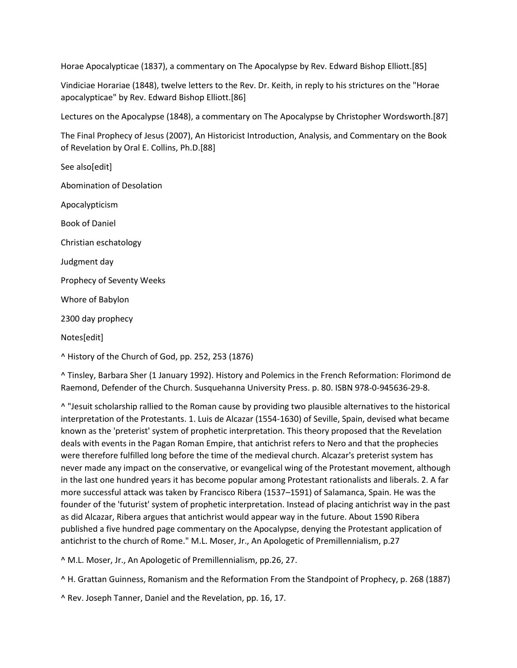Horae Apocalypticae (1837), a commentary on The Apocalypse by Rev. Edward Bishop Elliott.[85]

Vindiciae Horariae (1848), twelve letters to the Rev. Dr. Keith, in reply to his strictures on the "Horae apocalypticae" by Rev. Edward Bishop Elliott.[86]

Lectures on the Apocalypse (1848), a commentary on The Apocalypse by Christopher Wordsworth.[87]

The Final Prophecy of Jesus (2007), An Historicist Introduction, Analysis, and Commentary on the Book of Revelation by Oral E. Collins, Ph.D.[88]

See also[edit] Abomination of Desolation Apocalypticism Book of Daniel Christian eschatology Judgment day Prophecy of Seventy Weeks Whore of Babylon 2300 day prophecy Notes[edit]

^ History of the Church of God, pp. 252, 253 (1876)

^ Tinsley, Barbara Sher (1 January 1992). History and Polemics in the French Reformation: Florimond de Raemond, Defender of the Church. Susquehanna University Press. p. 80. ISBN 978-0-945636-29-8.

^ "Jesuit scholarship rallied to the Roman cause by providing two plausible alternatives to the historical interpretation of the Protestants. 1. Luis de Alcazar (1554-1630) of Seville, Spain, devised what became known as the 'preterist' system of prophetic interpretation. This theory proposed that the Revelation deals with events in the Pagan Roman Empire, that antichrist refers to Nero and that the prophecies were therefore fulfilled long before the time of the medieval church. Alcazar's preterist system has never made any impact on the conservative, or evangelical wing of the Protestant movement, although in the last one hundred years it has become popular among Protestant rationalists and liberals. 2. A far more successful attack was taken by Francisco Ribera (1537–1591) of Salamanca, Spain. He was the founder of the 'futurist' system of prophetic interpretation. Instead of placing antichrist way in the past as did Alcazar, Ribera argues that antichrist would appear way in the future. About 1590 Ribera published a five hundred page commentary on the Apocalypse, denying the Protestant application of antichrist to the church of Rome." M.L. Moser, Jr., An Apologetic of Premillennialism, p.27

^ M.L. Moser, Jr., An Apologetic of Premillennialism, pp.26, 27.

^ H. Grattan Guinness, Romanism and the Reformation From the Standpoint of Prophecy, p. 268 (1887)

^ Rev. Joseph Tanner, Daniel and the Revelation, pp. 16, 17.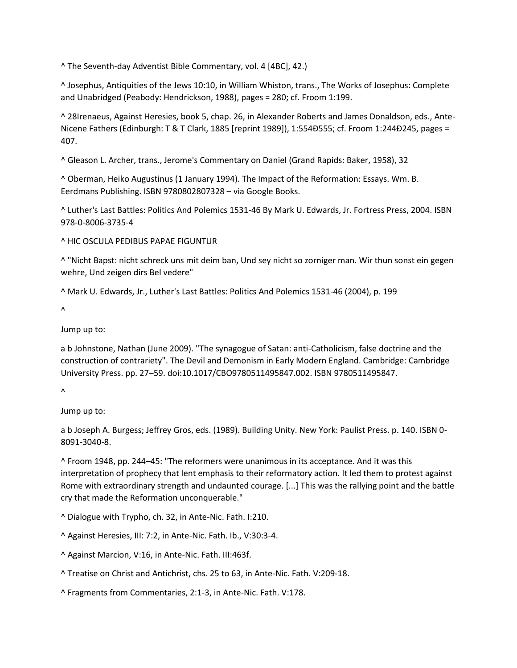^ The Seventh-day Adventist Bible Commentary, vol. 4 [4BC], 42.)

^ Josephus, Antiquities of the Jews 10:10, in William Whiston, trans., The Works of Josephus: Complete and Unabridged (Peabody: Hendrickson, 1988), pages = 280; cf. Froom 1:199.

^ 28Irenaeus, Against Heresies, book 5, chap. 26, in Alexander Roberts and James Donaldson, eds., Ante-Nicene Fathers (Edinburgh: T & T Clark, 1885 [reprint 1989]), 1:554Ð555; cf. Froom 1:244Ð245, pages = 407.

^ Gleason L. Archer, trans., Jerome's Commentary on Daniel (Grand Rapids: Baker, 1958), 32

^ Oberman, Heiko Augustinus (1 January 1994). The Impact of the Reformation: Essays. Wm. B. Eerdmans Publishing. ISBN 9780802807328 – via Google Books.

^ Luther's Last Battles: Politics And Polemics 1531-46 By Mark U. Edwards, Jr. Fortress Press, 2004. ISBN 978-0-8006-3735-4

^ HIC OSCULA PEDIBUS PAPAE FIGUNTUR

^ "Nicht Bapst: nicht schreck uns mit deim ban, Und sey nicht so zorniger man. Wir thun sonst ein gegen wehre, Und zeigen dirs Bel vedere"

^ Mark U. Edwards, Jr., Luther's Last Battles: Politics And Polemics 1531-46 (2004), p. 199

 $\Lambda$ 

Jump up to:

a b Johnstone, Nathan (June 2009). "The synagogue of Satan: anti-Catholicism, false doctrine and the construction of contrariety". The Devil and Demonism in Early Modern England. Cambridge: Cambridge University Press. pp. 27–59. doi:10.1017/CBO9780511495847.002. ISBN 9780511495847.

 $\lambda$ 

Jump up to:

a b Joseph A. Burgess; Jeffrey Gros, eds. (1989). Building Unity. New York: Paulist Press. p. 140. ISBN 0- 8091-3040-8.

^ Froom 1948, pp. 244–45: "The reformers were unanimous in its acceptance. And it was this interpretation of prophecy that lent emphasis to their reformatory action. It led them to protest against Rome with extraordinary strength and undaunted courage. [...] This was the rallying point and the battle cry that made the Reformation unconquerable."

^ Dialogue with Trypho, ch. 32, in Ante-Nic. Fath. I:210.

^ Against Heresies, III: 7:2, in Ante-Nic. Fath. Ib., V:30:3-4.

^ Against Marcion, V:16, in Ante-Nic. Fath. III:463f.

^ Treatise on Christ and Antichrist, chs. 25 to 63, in Ante-Nic. Fath. V:209-18.

^ Fragments from Commentaries, 2:1-3, in Ante-Nic. Fath. V:178.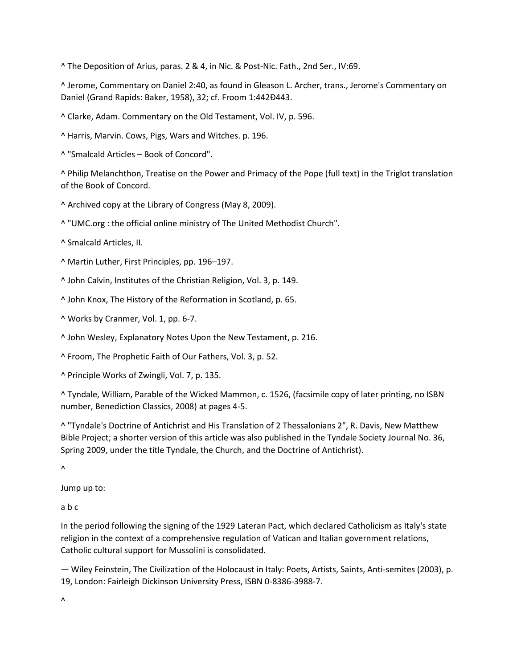^ The Deposition of Arius, paras. 2 & 4, in Nic. & Post-Nic. Fath., 2nd Ser., IV:69.

^ Jerome, Commentary on Daniel 2:40, as found in Gleason L. Archer, trans., Jerome's Commentary on Daniel (Grand Rapids: Baker, 1958), 32; cf. Froom 1:442Ð443.

^ Clarke, Adam. Commentary on the Old Testament, Vol. IV, p. 596.

^ Harris, Marvin. Cows, Pigs, Wars and Witches. p. 196.

^ "Smalcald Articles – Book of Concord".

^ Philip Melanchthon, Treatise on the Power and Primacy of the Pope (full text) in the Triglot translation of the Book of Concord.

^ Archived copy at the Library of Congress (May 8, 2009).

^ "UMC.org : the official online ministry of The United Methodist Church".

^ Smalcald Articles, II.

^ Martin Luther, First Principles, pp. 196–197.

^ John Calvin, Institutes of the Christian Religion, Vol. 3, p. 149.

^ John Knox, The History of the Reformation in Scotland, p. 65.

^ Works by Cranmer, Vol. 1, pp. 6-7.

^ John Wesley, Explanatory Notes Upon the New Testament, p. 216.

^ Froom, The Prophetic Faith of Our Fathers, Vol. 3, p. 52.

^ Principle Works of Zwingli, Vol. 7, p. 135.

^ Tyndale, William, Parable of the Wicked Mammon, c. 1526, (facsimile copy of later printing, no ISBN number, Benediction Classics, 2008) at pages 4-5.

^ "Tyndale's Doctrine of Antichrist and His Translation of 2 Thessalonians 2", R. Davis, New Matthew Bible Project; a shorter version of this article was also published in the Tyndale Society Journal No. 36, Spring 2009, under the title Tyndale, the Church, and the Doctrine of Antichrist).

 $\lambda$ 

Jump up to:

a b c

In the period following the signing of the 1929 Lateran Pact, which declared Catholicism as Italy's state religion in the context of a comprehensive regulation of Vatican and Italian government relations, Catholic cultural support for Mussolini is consolidated.

— Wiley Feinstein, The Civilization of the Holocaust in Italy: Poets, Artists, Saints, Anti-semites (2003), p. 19, London: Fairleigh Dickinson University Press, ISBN 0-8386-3988-7.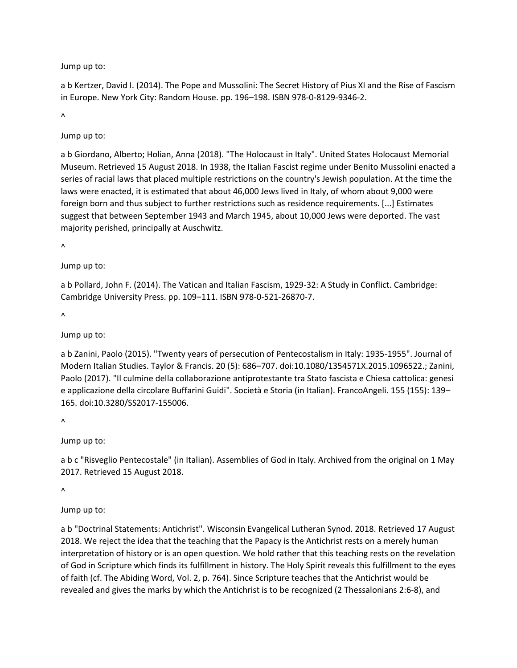Jump up to:

a b Kertzer, David I. (2014). The Pope and Mussolini: The Secret History of Pius XI and the Rise of Fascism in Europe. New York City: Random House. pp. 196–198. ISBN 978-0-8129-9346-2.

 $\lambda$ 

Jump up to:

a b Giordano, Alberto; Holian, Anna (2018). "The Holocaust in Italy". United States Holocaust Memorial Museum. Retrieved 15 August 2018. In 1938, the Italian Fascist regime under Benito Mussolini enacted a series of racial laws that placed multiple restrictions on the country's Jewish population. At the time the laws were enacted, it is estimated that about 46,000 Jews lived in Italy, of whom about 9,000 were foreign born and thus subject to further restrictions such as residence requirements. [...] Estimates suggest that between September 1943 and March 1945, about 10,000 Jews were deported. The vast majority perished, principally at Auschwitz.

 $\lambda$ 

Jump up to:

a b Pollard, John F. (2014). The Vatican and Italian Fascism, 1929-32: A Study in Conflict. Cambridge: Cambridge University Press. pp. 109–111. ISBN 978-0-521-26870-7.

 $\lambda$ 

Jump up to:

a b Zanini, Paolo (2015). "Twenty years of persecution of Pentecostalism in Italy: 1935-1955". Journal of Modern Italian Studies. Taylor & Francis. 20 (5): 686–707. doi:10.1080/1354571X.2015.1096522.; Zanini, Paolo (2017). "Il culmine della collaborazione antiprotestante tra Stato fascista e Chiesa cattolica: genesi e applicazione della circolare Buffarini Guidi". Società e Storia (in Italian). FrancoAngeli. 155 (155): 139– 165. doi:10.3280/SS2017-155006.

 $\Lambda$ 

Jump up to:

a b c "Risveglio Pentecostale" (in Italian). Assemblies of God in Italy. Archived from the original on 1 May 2017. Retrieved 15 August 2018.

 $\lambda$ 

Jump up to:

a b "Doctrinal Statements: Antichrist". Wisconsin Evangelical Lutheran Synod. 2018. Retrieved 17 August 2018. We reject the idea that the teaching that the Papacy is the Antichrist rests on a merely human interpretation of history or is an open question. We hold rather that this teaching rests on the revelation of God in Scripture which finds its fulfillment in history. The Holy Spirit reveals this fulfillment to the eyes of faith (cf. The Abiding Word, Vol. 2, p. 764). Since Scripture teaches that the Antichrist would be revealed and gives the marks by which the Antichrist is to be recognized (2 Thessalonians 2:6-8), and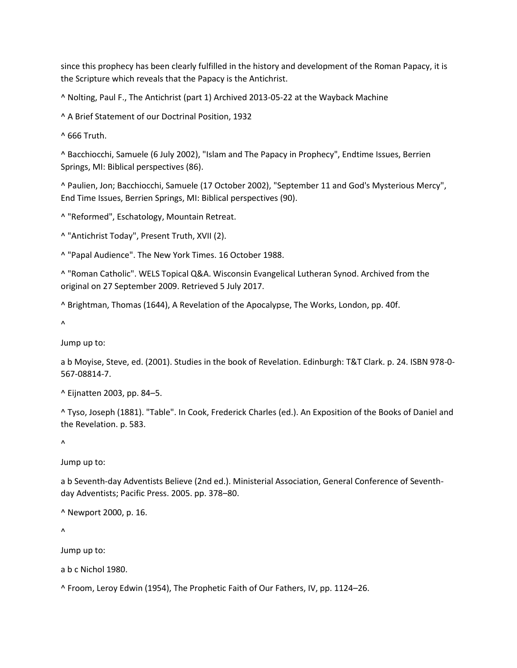since this prophecy has been clearly fulfilled in the history and development of the Roman Papacy, it is the Scripture which reveals that the Papacy is the Antichrist.

^ Nolting, Paul F., The Antichrist (part 1) Archived 2013-05-22 at the Wayback Machine

^ A Brief Statement of our Doctrinal Position, 1932

^ 666 Truth.

^ Bacchiocchi, Samuele (6 July 2002), "Islam and The Papacy in Prophecy", Endtime Issues, Berrien Springs, MI: Biblical perspectives (86).

^ Paulien, Jon; Bacchiocchi, Samuele (17 October 2002), "September 11 and God's Mysterious Mercy", End Time Issues, Berrien Springs, MI: Biblical perspectives (90).

^ "Reformed", Eschatology, Mountain Retreat.

^ "Antichrist Today", Present Truth, XVII (2).

^ "Papal Audience". The New York Times. 16 October 1988.

^ "Roman Catholic". WELS Topical Q&A. Wisconsin Evangelical Lutheran Synod. Archived from the original on 27 September 2009. Retrieved 5 July 2017.

^ Brightman, Thomas (1644), A Revelation of the Apocalypse, The Works, London, pp. 40f.

 $\boldsymbol{\Lambda}$ 

Jump up to:

a b Moyise, Steve, ed. (2001). Studies in the book of Revelation. Edinburgh: T&T Clark. p. 24. ISBN 978-0- 567-08814-7.

^ Eijnatten 2003, pp. 84–5.

^ Tyso, Joseph (1881). "Table". In Cook, Frederick Charles (ed.). An Exposition of the Books of Daniel and the Revelation. p. 583.

 $\Lambda$ 

Jump up to:

a b Seventh-day Adventists Believe (2nd ed.). Ministerial Association, General Conference of Seventhday Adventists; Pacific Press. 2005. pp. 378–80.

^ Newport 2000, p. 16.

 $\lambda$ 

Jump up to:

a b c Nichol 1980.

^ Froom, Leroy Edwin (1954), The Prophetic Faith of Our Fathers, IV, pp. 1124–26.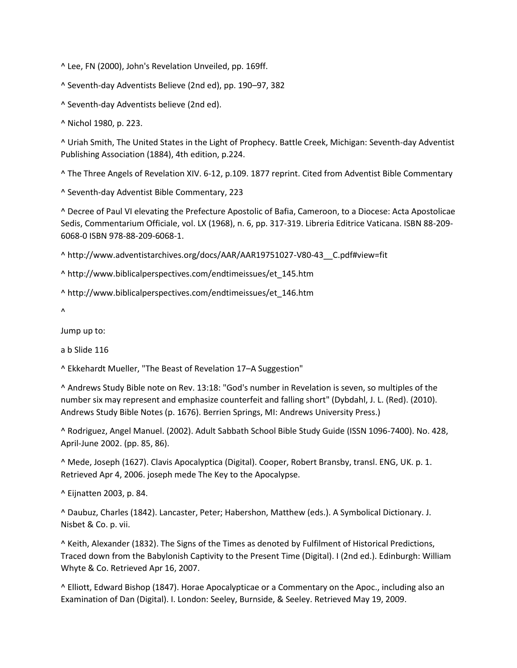^ Lee, FN (2000), John's Revelation Unveiled, pp. 169ff.

^ Seventh-day Adventists Believe (2nd ed), pp. 190–97, 382

^ Seventh-day Adventists believe (2nd ed).

^ Nichol 1980, p. 223.

^ Uriah Smith, The United States in the Light of Prophecy. Battle Creek, Michigan: Seventh-day Adventist Publishing Association (1884), 4th edition, p.224.

^ The Three Angels of Revelation XIV. 6-12, p.109. 1877 reprint. Cited from Adventist Bible Commentary

^ Seventh-day Adventist Bible Commentary, 223

^ Decree of Paul VI elevating the Prefecture Apostolic of Bafia, Cameroon, to a Diocese: Acta Apostolicae Sedis, Commentarium Officiale, vol. LX (1968), n. 6, pp. 317-319. Libreria Editrice Vaticana. ISBN 88-209- 6068-0 ISBN 978-88-209-6068-1.

^ http://www.adventistarchives.org/docs/AAR/AAR19751027-V80-43\_\_C.pdf#view=fit

^ http://www.biblicalperspectives.com/endtimeissues/et\_145.htm

^ http://www.biblicalperspectives.com/endtimeissues/et\_146.htm

 $\boldsymbol{\Lambda}$ 

Jump up to:

a b Slide 116

^ Ekkehardt Mueller, "The Beast of Revelation 17–A Suggestion"

^ Andrews Study Bible note on Rev. 13:18: "God's number in Revelation is seven, so multiples of the number six may represent and emphasize counterfeit and falling short" (Dybdahl, J. L. (Red). (2010). Andrews Study Bible Notes (p. 1676). Berrien Springs, MI: Andrews University Press.)

^ Rodriguez, Angel Manuel. (2002). Adult Sabbath School Bible Study Guide (ISSN 1096-7400). No. 428, April-June 2002. (pp. 85, 86).

^ Mede, Joseph (1627). Clavis Apocalyptica (Digital). Cooper, Robert Bransby, transl. ENG, UK. p. 1. Retrieved Apr 4, 2006. joseph mede The Key to the Apocalypse.

^ Eijnatten 2003, p. 84.

^ Daubuz, Charles (1842). Lancaster, Peter; Habershon, Matthew (eds.). A Symbolical Dictionary. J. Nisbet & Co. p. vii.

^ Keith, Alexander (1832). The Signs of the Times as denoted by Fulfilment of Historical Predictions, Traced down from the Babylonish Captivity to the Present Time (Digital). I (2nd ed.). Edinburgh: William Whyte & Co. Retrieved Apr 16, 2007.

^ Elliott, Edward Bishop (1847). Horae Apocalypticae or a Commentary on the Apoc., including also an Examination of Dan (Digital). I. London: Seeley, Burnside, & Seeley. Retrieved May 19, 2009.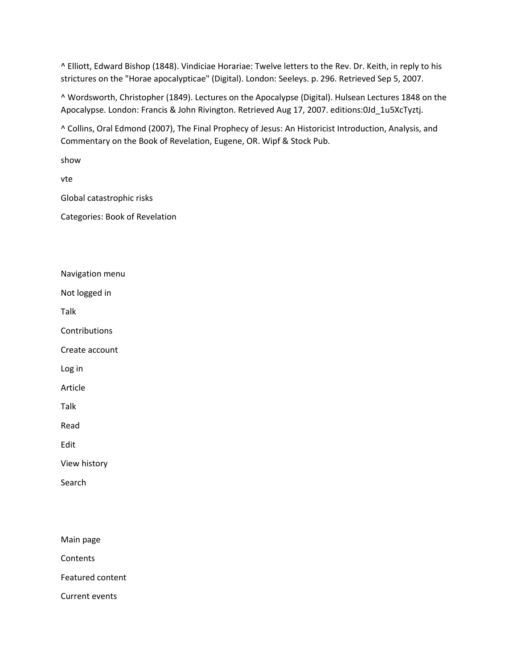^ Elliott, Edward Bishop (1848). Vindiciae Horariae: Twelve letters to the Rev. Dr. Keith, in reply to his strictures on the "Horae apocalypticae" (Digital). London: Seeleys. p. 296. Retrieved Sep 5, 2007.

^ Wordsworth, Christopher (1849). Lectures on the Apocalypse (Digital). Hulsean Lectures 1848 on the Apocalypse. London: Francis & John Rivington. Retrieved Aug 17, 2007. editions:0Jd\_1u5XcTyztj.

^ Collins, Oral Edmond (2007), The Final Prophecy of Jesus: An Historicist Introduction, Analysis, and Commentary on the Book of Revelation, Eugene, OR. Wipf & Stock Pub.

show

vte

Global catastrophic risks

Categories: Book of Revelation

Navigation menu

Not logged in

Talk

**Contributions** 

Create account

Log in

Article

Talk

Read

Edit

View history

Search

Main page

Contents

Featured content

Current events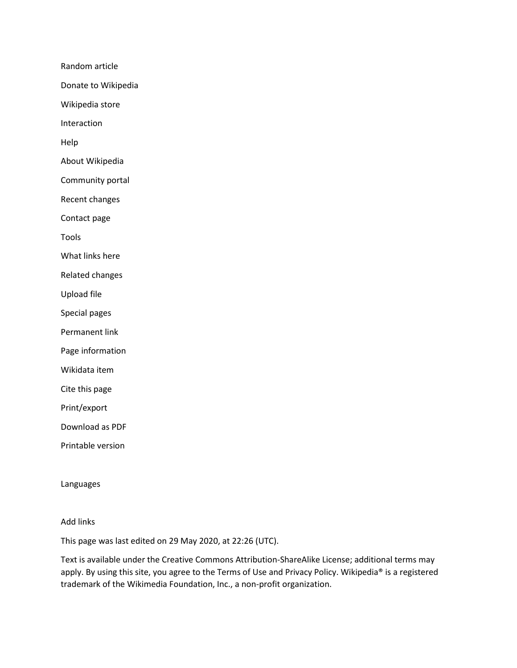Random article

Donate to Wikipedia

Wikipedia store

Interaction

Help

About Wikipedia

Community portal

Recent changes

Contact page

Tools

What links here

Related changes

Upload file

Special pages

Permanent link

Page information

Wikidata item

Cite this page

Print/export

Download as PDF

Printable version

Languages

## Add links

This page was last edited on 29 May 2020, at 22:26 (UTC).

Text is available under the Creative Commons Attribution-ShareAlike License; additional terms may apply. By using this site, you agree to the Terms of Use and Privacy Policy. Wikipedia® is a registered trademark of the Wikimedia Foundation, Inc., a non-profit organization.